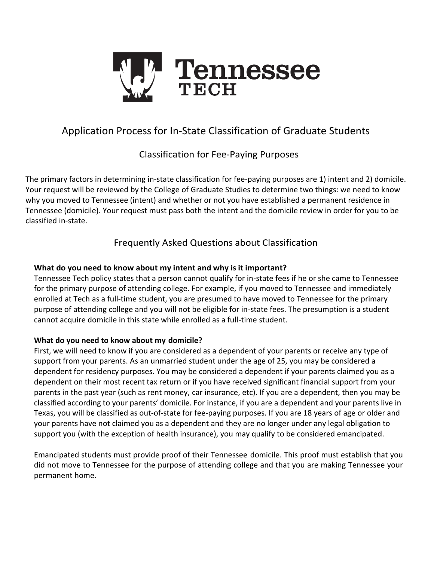

# Application Process for In-State Classification of Graduate Students

# Classification for Fee-Paying Purposes

The primary factors in determining in-state classification for fee-paying purposes are 1) intent and 2) domicile. Your request will be reviewed by the College of Graduate Studies to determine two things: we need to know why you moved to Tennessee (intent) and whether or not you have established a permanent residence in Tennessee (domicile). Your request must pass both the intent and the domicile review in order for you to be classified in-state.

# Frequently Asked Questions about Classification

### **What do you need to know about my intent and why isit important?**

Tennessee Tech policy states that a person cannot qualify for in-state fees if he or she came to Tennessee for the primary purpose of attending college. For example, if you moved to Tennessee and immediately enrolled at Tech as a full-time student, you are presumed to have moved to Tennessee for the primary purpose of attending college and you will not be eligible for in-state fees. The presumption is a student cannot acquire domicile in this state while enrolled as a full-time student.

#### **What do you need to know about my domicile?**

First, we will need to know if you are considered as a dependent of your parents or receive any type of support from your parents. As an unmarried student under the age of 25, you may be considered a dependent for residency purposes. You may be considered a dependent if your parents claimed you as a dependent on their most recent tax return or if you have received significant financial support from your parents in the past year (such as rent money, car insurance, etc). If you are a dependent, then you may be classified according to your parents' domicile. For instance, if you are a dependent and your parents live in Texas, you will be classified as out-of-state for fee-paying purposes. If you are 18 years of age or older and your parents have not claimed you as a dependent and they are no longer under any legal obligation to support you (with the exception of health insurance), you may qualify to be considered emancipated.

Emancipated students must provide proof of their Tennessee domicile. This proof must establish that you did not move to Tennessee for the purpose of attending college and that you are making Tennessee your permanent home.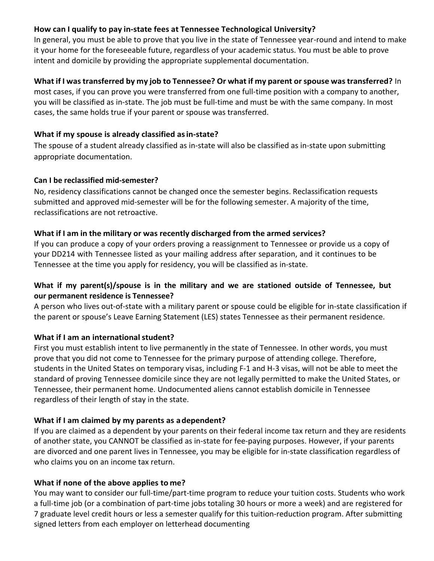### **How can I qualify to pay in-state fees at Tennessee Technological University?**

In general, you must be able to prove that you live in the state of Tennessee year-round and intend to make it your home for the foreseeable future, regardless of your academic status. You must be able to prove intent and domicile by providing the appropriate supplemental documentation.

### **What if I wastransferred by my job to Tennessee? Or what if my parent orspouse wastransferred?** In

most cases, if you can prove you were transferred from one full-time position with a company to another, you will be classified as in-state. The job must be full-time and must be with the same company. In most cases, the same holds true if your parent or spouse was transferred.

### **What if my spouse is already classified as in-state?**

The spouse of a student already classified as in-state will also be classified as in-state upon submitting appropriate documentation.

### **Can I be reclassified mid-semester?**

No, residency classifications cannot be changed once the semester begins. Reclassification requests submitted and approved mid-semester will be for the following semester. A majority of the time, reclassifications are not retroactive.

### **What if I am in the military or was recently discharged from the armed services?**

If you can produce a copy of your orders proving a reassignment to Tennessee or provide us a copy of your DD214 with Tennessee listed as your mailing address after separation, and it continues to be Tennessee at the time you apply for residency, you will be classified as in-state.

### **What if my parent(s)/spouse is in the military and we are stationed outside of Tennessee, but our permanent residence is Tennessee?**

A person who lives out-of-state with a military parent or spouse could be eligible for in-state classification if the parent or spouse's Leave Earning Statement (LES) states Tennessee as their permanent residence.

## **What if I am an international student?**

First you must establish intent to live permanently in the state of Tennessee. In other words, you must prove that you did not come to Tennessee for the primary purpose of attending college. Therefore, students in the United States on temporary visas, including F-1 and H-3 visas, will not be able to meet the standard of proving Tennessee domicile since they are not legally permitted to make the United States, or Tennessee, their permanent home. Undocumented aliens cannot establish domicile in Tennessee regardless of their length of stay in the state.

#### **What if I am claimed by my parents as a dependent?**

If you are claimed as a dependent by your parents on their federal income tax return and they are residents of another state, you CANNOT be classified as in-state for fee-paying purposes. However, if your parents are divorced and one parent lives in Tennessee, you may be eligible for in-state classification regardless of who claims you on an income tax return.

#### **What if none of the above applies to me?**

You may want to consider our full-time/part-time program to reduce your tuition costs. Students who work a full-time job (or a combination of part-time jobs totaling 30 hours or more a week) and are registered for 7 graduate level credit hours or less a semester qualify for this tuition-reduction program. After submitting signed letters from each employer on letterhead documenting